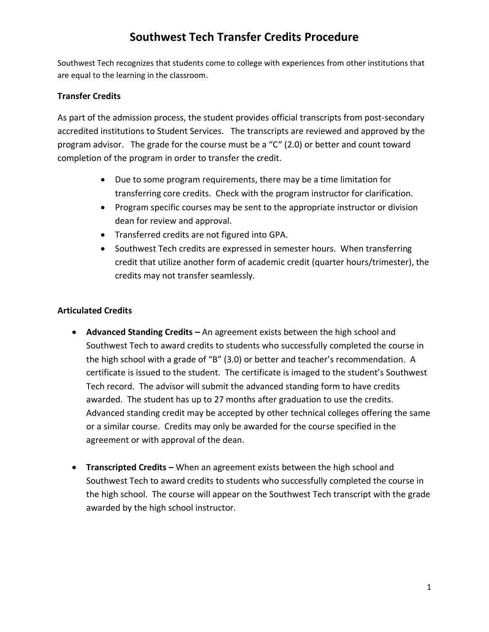## **Southwest Tech Transfer Credits Procedure**

Southwest Tech recognizes that students come to college with experiences from other institutions that are equal to the learning in the classroom.

### **Transfer Credits**

As part of the admission process, the student provides official transcripts from post-secondary accredited institutions to Student Services. The transcripts are reviewed and approved by the program advisor. The grade for the course must be a "C" (2.0) or better and count toward completion of the program in order to transfer the credit.

- Due to some program requirements, there may be a time limitation for transferring core credits. Check with the program instructor for clarification.
- Program specific courses may be sent to the appropriate instructor or division dean for review and approval.
- Transferred credits are not figured into GPA.
- Southwest Tech credits are expressed in semester hours. When transferring credit that utilize another form of academic credit (quarter hours/trimester), the credits may not transfer seamlessly.

## **Articulated Credits**

- **Advanced Standing Credits –** An agreement exists between the high school and Southwest Tech to award credits to students who successfully completed the course in the high school with a grade of "B" (3.0) or better and teacher's recommendation. A certificate is issued to the student. The certificate is imaged to the student's Southwest Tech record. The advisor will submit the advanced standing form to have credits awarded. The student has up to 27 months after graduation to use the credits. Advanced standing credit may be accepted by other technical colleges offering the same or a similar course. Credits may only be awarded for the course specified in the agreement or with approval of the dean.
- **Transcripted Credits –** When an agreement exists between the high school and Southwest Tech to award credits to students who successfully completed the course in the high school. The course will appear on the Southwest Tech transcript with the grade awarded by the high school instructor.